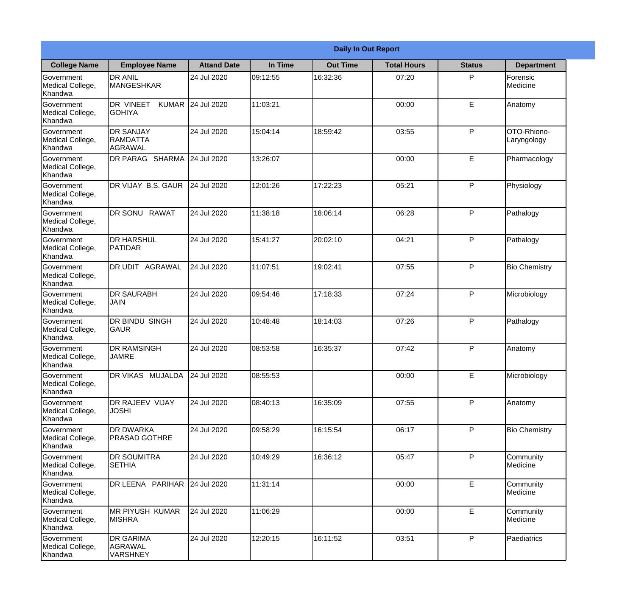|                                                  | <b>Daily In Out Report</b>                     |                    |          |                 |                    |               |                            |  |  |
|--------------------------------------------------|------------------------------------------------|--------------------|----------|-----------------|--------------------|---------------|----------------------------|--|--|
| <b>College Name</b>                              | <b>Employee Name</b>                           | <b>Attand Date</b> | In Time  | <b>Out Time</b> | <b>Total Hours</b> | <b>Status</b> | <b>Department</b>          |  |  |
| Government<br>Medical College,<br>Khandwa        | <b>DR ANIL</b><br><b>MANGESHKAR</b>            | 24 Jul 2020        | 09:12:55 | 16:32:36        | 07:20              | P             | Forensic<br>Medicine       |  |  |
| Government<br>Medical College,<br>Khandwa        | DR VINEET<br><b>KUMAR</b><br><b>GOHIYA</b>     | 24 Jul 2020        | 11:03:21 |                 | 00:00              | E             | Anatomy                    |  |  |
| <b>Government</b><br>Medical College,<br>Khandwa | <b>DR SANJAY</b><br><b>RAMDATTA</b><br>AGRAWAL | 24 Jul 2020        | 15:04:14 | 18:59:42        | 03:55              | P             | OTO-Rhiono-<br>Laryngology |  |  |
| Government<br>Medical College,<br>Khandwa        | DR PARAG SHARMA                                | 24 Jul 2020        | 13:26:07 |                 | 00:00              | E             | Pharmacology               |  |  |
| Government<br>Medical College,<br>Khandwa        | DR VIJAY B.S. GAUR                             | 24 Jul 2020        | 12:01:26 | 17:22:23        | 05:21              | P             | Physiology                 |  |  |
| Government<br>Medical College,<br>Khandwa        | <b>DR SONU RAWAT</b>                           | 24 Jul 2020        | 11:38:18 | 18:06:14        | 06:28              | P             | Pathalogy                  |  |  |
| Government<br>Medical College,<br>Khandwa        | <b>I</b> DR HARSHUL<br><b>PATIDAR</b>          | 24 Jul 2020        | 15:41:27 | 20:02:10        | 04:21              | P             | Pathalogy                  |  |  |
| Government<br>Medical College,<br>Khandwa        | DR UDIT AGRAWAL                                | 24 Jul 2020        | 11:07:51 | 19:02:41        | 07:55              | P             | <b>Bio Chemistry</b>       |  |  |
| Government<br>Medical College,<br>Khandwa        | <b>DR SAURABH</b><br><b>JAIN</b>               | 24 Jul 2020        | 09:54:46 | 17:18:33        | 07:24              | P             | Microbiology               |  |  |
| Government<br>Medical College,<br>Khandwa        | <b>DR BINDU SINGH</b><br> GAUR                 | 24 Jul 2020        | 10:48:48 | 18:14:03        | 07:26              | P             | Pathalogy                  |  |  |
| Government<br>Medical College,<br>Khandwa        | <b>DR RAMSINGH</b><br><b>JAMRE</b>             | 24 Jul 2020        | 08:53:58 | 16:35:37        | 07:42              | P             | Anatomy                    |  |  |
| Government<br>Medical College,<br>Khandwa        | DR VIKAS MUJALDA                               | 24 Jul 2020        | 08:55:53 |                 | 00:00              | E             | Microbiology               |  |  |
| Government<br>Medical College,<br>Khandwa        | DR RAJEEV VIJAY<br><b>JOSHI</b>                | 24 Jul 2020        | 08:40:13 | 16:35:09        | 07:55              | P             | Anatomy                    |  |  |
| Government<br>Medical College,<br>Khandwa        | <b>DR DWARKA</b><br><b>PRASAD GOTHRE</b>       | 24 Jul 2020        | 09:58:29 | 16:15:54        | 06:17              | P             | <b>Bio Chemistry</b>       |  |  |
| Government<br>Medical College,<br>Khandwa        | <b>DR SOUMITRA</b><br><b>SETHIA</b>            | 24 Jul 2020        | 10:49:29 | 16:36:12        | 05:47              | P             | Community<br>Medicine      |  |  |
| Government<br>Medical College,<br>Khandwa        | DR LEENA PARIHAR                               | 24 Jul 2020        | 11:31:14 |                 | 00:00              | E             | Community<br>Medicine      |  |  |
| Government<br>Medical College,<br>Khandwa        | <b>MR PIYUSH KUMAR</b><br><b>MISHRA</b>        | 24 Jul 2020        | 11:06:29 |                 | 00:00              | E             | Community<br>Medicine      |  |  |
| Government<br>Medical College,<br>Khandwa        | <b>DR GARIMA</b><br>AGRAWAL<br><b>VARSHNEY</b> | 24 Jul 2020        | 12:20:15 | 16:11:52        | 03:51              | P             | Paediatrics                |  |  |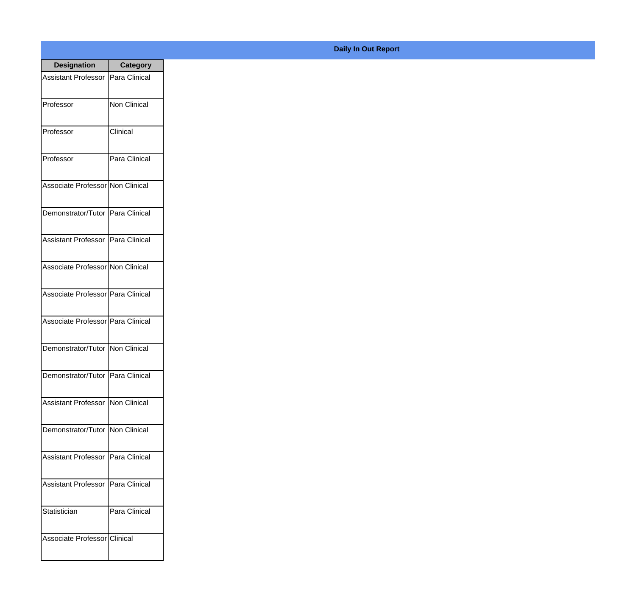| <b>Designation</b>                  | <b>Category</b> |
|-------------------------------------|-----------------|
| Assistant Professor                 | Para Clinical   |
| Professor                           | Non Clinical    |
| Professor                           | Clinical        |
| Professor                           | Para Clinical   |
| Associate Professor Non Clinical    |                 |
| Demonstrator/Tutor   Para Clinical  |                 |
| Assistant Professor   Para Clinical |                 |
| Associate Professor Non Clinical    |                 |
| Associate Professor Para Clinical   |                 |
| Associate Professor   Para Clinical |                 |
| Demonstrator/Tutor   Non Clinical   |                 |
| Demonstrator/Tutor   Para Clinical  |                 |
| Assistant Professor   Non Clinical  |                 |
| Demonstrator/Tutor   Non Clinical   |                 |
| <b>Assistant Professor</b>          | Para Clinical   |
| <b>Assistant Professor</b>          | Para Clinical   |
| Statistician                        | Para Clinical   |
| Associate Professor Clinical        |                 |

## **Daily In Out Report**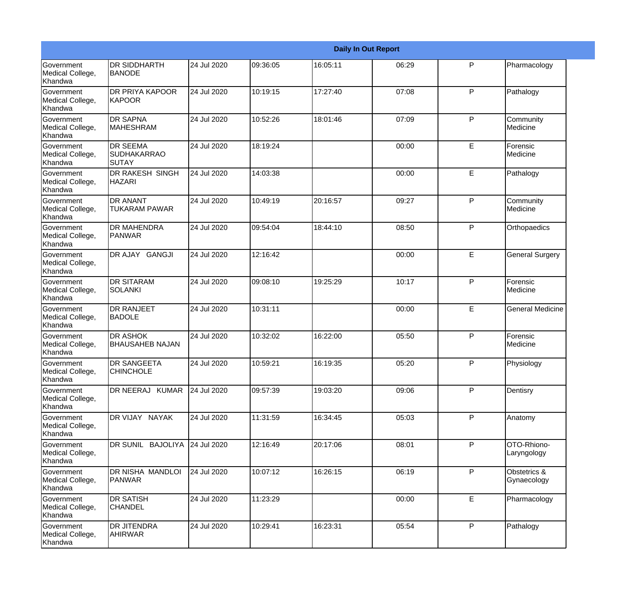|                                                  |                                                |             |          |          | <b>Daily In Out Report</b> |              |                             |
|--------------------------------------------------|------------------------------------------------|-------------|----------|----------|----------------------------|--------------|-----------------------------|
| Government<br>Medical College,<br>Khandwa        | DR SIDDHARTH<br><b>BANODE</b>                  | 24 Jul 2020 | 09:36:05 | 16:05:11 | 06:29                      | P            | Pharmacology                |
| Government<br>Medical College,<br>Khandwa        | DR PRIYA KAPOOR<br><b>KAPOOR</b>               | 24 Jul 2020 | 10:19:15 | 17:27:40 | 07:08                      | $\mathsf{P}$ | Pathalogy                   |
| <b>Government</b><br>Medical College,<br>Khandwa | <b>DR SAPNA</b><br><b>MAHESHRAM</b>            | 24 Jul 2020 | 10:52:26 | 18:01:46 | 07:09                      | $\mathsf{P}$ | Community<br>Medicine       |
| Government<br>Medical College,<br>Khandwa        | <b>DR SEEMA</b><br><b>SUDHAKARRAO</b><br>SUTAY | 24 Jul 2020 | 18:19:24 |          | 00:00                      | E            | Forensic<br>Medicine        |
| <b>Government</b><br>Medical College,<br>Khandwa | DR RAKESH SINGH<br><b>HAZARI</b>               | 24 Jul 2020 | 14:03:38 |          | 00:00                      | E            | Pathalogy                   |
| Government<br>Medical College,<br><b>Khandwa</b> | <b>DR ANANT</b><br><b>TUKARAM PAWAR</b>        | 24 Jul 2020 | 10:49:19 | 20:16:57 | 09:27                      | $\mathsf{P}$ | Community<br>Medicine       |
| Government<br>Medical College,<br>Khandwa        | <b>DR MAHENDRA</b><br><b>PANWAR</b>            | 24 Jul 2020 | 09:54:04 | 18:44:10 | 08:50                      | $\mathsf{P}$ | Orthopaedics                |
| Government<br>Medical College,<br>Khandwa        | DR AJAY GANGJI                                 | 24 Jul 2020 | 12:16:42 |          | 00:00                      | E            | <b>General Surgery</b>      |
| Government<br>Medical College,<br>Khandwa        | <b>DR SITARAM</b><br><b>SOLANKI</b>            | 24 Jul 2020 | 09:08:10 | 19:25:29 | 10:17                      | P            | Forensic<br>Medicine        |
| Government<br>Medical College,<br>Khandwa        | <b>DR RANJEET</b><br><b>BADOLE</b>             | 24 Jul 2020 | 10:31:11 |          | 00:00                      | E            | <b>General Medicine</b>     |
| <b>Government</b><br>Medical College,<br>Khandwa | <b>DR ASHOK</b><br><b>BHAUSAHEB NAJAN</b>      | 24 Jul 2020 | 10:32:02 | 16:22:00 | 05:50                      | P            | Forensic<br>Medicine        |
| Government<br>Medical College,<br>Khandwa        | DR SANGEETA<br><b>CHINCHOLE</b>                | 24 Jul 2020 | 10:59:21 | 16:19:35 | 05:20                      | P            | Physiology                  |
| Government<br>Medical College,<br>Khandwa        | DR NEERAJ KUMAR                                | 24 Jul 2020 | 09:57:39 | 19:03:20 | 09:06                      | $\mathsf{P}$ | Dentisry                    |
| Government<br>Medical College,<br>Khandwa        | DR VIJAY NAYAK                                 | 24 Jul 2020 | 11:31:59 | 16:34:45 | 05:03                      | P            | Anatomy                     |
| Government<br>Medical College,<br>Khandwa        | DR SUNIL BAJOLIYA                              | 24 Jul 2020 | 12:16:49 | 20:17:06 | 08:01                      | $\mathsf{P}$ | OTO-Rhiono-<br>Laryngology  |
| Government<br>Medical College,<br>Khandwa        | DR NISHA MANDLOI<br>PANWAR                     | 24 Jul 2020 | 10:07:12 | 16:26:15 | 06:19                      | $\mathsf{P}$ | Obstetrics &<br>Gynaecology |
| Government<br>Medical College,<br>Khandwa        | <b>DR SATISH</b><br><b>CHANDEL</b>             | 24 Jul 2020 | 11:23:29 |          | 00:00                      | E            | Pharmacology                |
| Government<br>Medical College,<br>Khandwa        | DR JITENDRA<br><b>AHIRWAR</b>                  | 24 Jul 2020 | 10:29:41 | 16:23:31 | 05:54                      | P            | Pathalogy                   |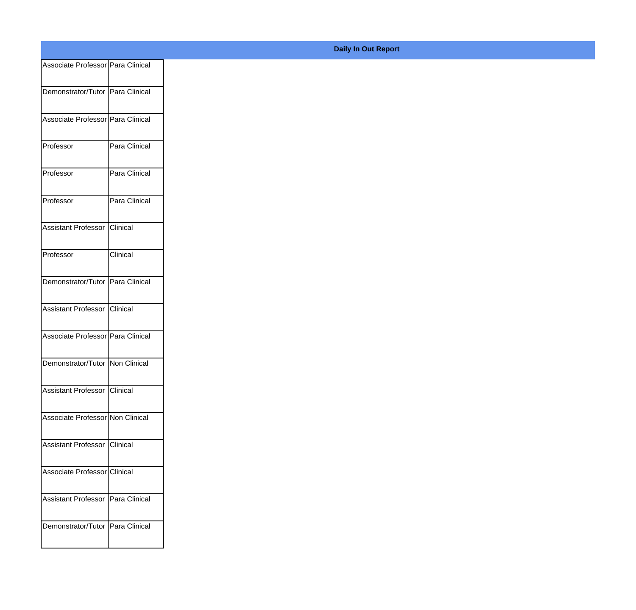| Associate Professor   Para Clinical |               |
|-------------------------------------|---------------|
|                                     |               |
| Demonstrator/Tutor   Para Clinical  |               |
| Associate Professor   Para Clinical |               |
|                                     |               |
| Professor                           | Para Clinical |
|                                     |               |
| Professor                           | Para Clinical |
| Professor                           | Para Clinical |
|                                     |               |
| Assistant Professor Clinical        |               |
|                                     |               |
| Professor                           | Clinical      |
|                                     |               |
| Demonstrator/Tutor Para Clinical    |               |
| Assistant Professor Clinical        |               |
|                                     |               |
| Associate Professor   Para Clinical |               |
|                                     |               |
| Demonstrator/Tutor Non Clinical     |               |
| Assistant Professor Clinical        |               |
|                                     |               |
| Associate Professor Non Clinical    |               |
|                                     |               |
| Assistant Professor Clinical        |               |
| Associate Professor Clinical        |               |
|                                     |               |
| Assistant Professor Para Clinical   |               |
|                                     |               |
| Demonstrator/Tutor Para Clinical    |               |
|                                     |               |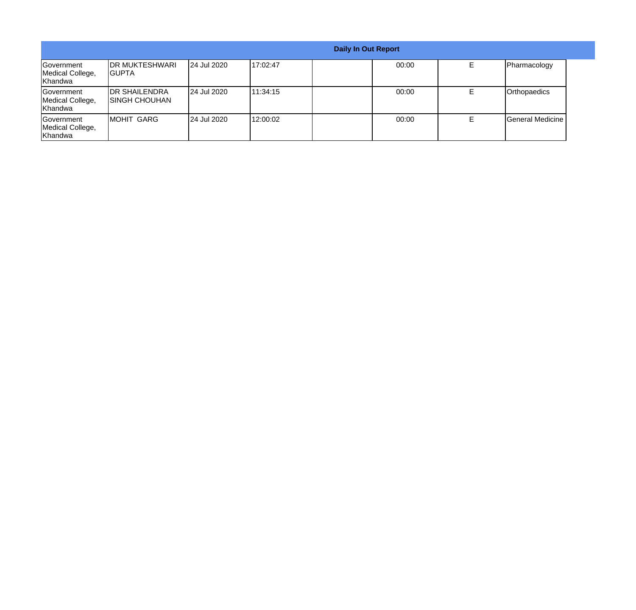|                                                  | <b>Daily In Out Report</b>              |                    |          |  |       |    |                  |  |
|--------------------------------------------------|-----------------------------------------|--------------------|----------|--|-------|----|------------------|--|
| <b>Sovernment</b><br>Medical College,<br>Khandwa | <b>IDR MUKTESHWARI</b><br>IGUPTA        | <b>24 Jul 2020</b> | 17:02:47 |  | 00:00 | E. | Pharmacology     |  |
| <b>Sovernment</b><br>Medical College,<br>Khandwa | <b>IDR SHAILENDRA</b><br>ISINGH CHOUHAN | 24 Jul 2020        | 11:34:15 |  | 00:00 | Е  | Orthopaedics     |  |
| Government<br>Medical College,<br>Khandwa        | IMOHIT GARG                             | 24 Jul 2020        | 12:00:02 |  | 00:00 |    | General Medicine |  |